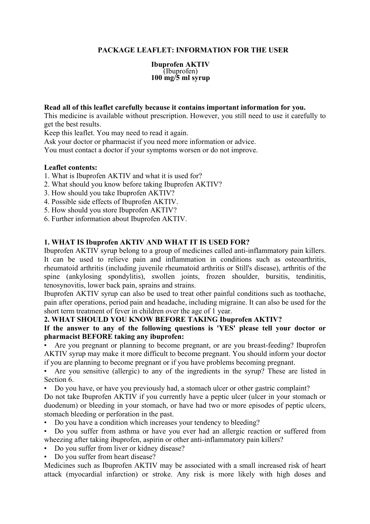## **PACKAGE LEAFLET: INFORMATION FOR THE USER**

**Ibuprofen AKTIV** (Ibuprofen) **100 mg/5 ml syrup** 

#### **Read all of this leaflet carefully because it contains important information for you.**

This medicine is available without prescription. However, you still need to use it carefully to get the best results.

Keep this leaflet. You may need to read it again.

Ask your doctor or pharmacist if you need more information or advice.

You must contact a doctor if your symptoms worsen or do not improve.

#### **Leaflet contents:**

- 1. What is Ibuprofen AKTIV and what it is used for?
- 2. What should you know before taking Ibuprofen AKTIV?
- 3. How should you take Ibuprofen AKTIV?
- 4. Possible side effects of Ibuprofen AKTIV.
- 5. How should you store Ibuprofen AKTIV?
- 6. Further information about Ibuprofen AKTIV.

#### **1. WHAT IS Ibuprofen AKTIV AND WHAT IT IS USED FOR?**

Ibuprofen AKTIV syrup belong to a group of medicines called anti-inflammatory pain killers. It can be used to relieve pain and inflammation in conditions such as osteoarthritis, rheumatoid arthritis (including juvenile rheumatoid arthritis or Still's disease), arthritis of the spine (ankylosing spondylitis), swollen joints, frozen shoulder, bursitis, tendinitis, tenosynovitis, lower back pain, sprains and strains.

Ibuprofen AKTIV syrup can also be used to treat other painful conditions such as toothache, pain after operations, period pain and headache, including migraine. It can also be used for the short term treatment of fever in children over the age of 1 year.

### **2. WHAT SHOULD YOU KNOW BEFORE TAKING Ibuprofen AKTIV?**

### **If the answer to any of the following questions is 'YES' please tell your doctor or pharmacist BEFORE taking any ibuprofen:**

• Are you pregnant or planning to become pregnant, or are you breast-feeding? Ibuprofen AKTIV syrup may make it more difficult to become pregnant. You should inform your doctor if you are planning to become pregnant or if you have problems becoming pregnant.

• Are you sensitive (allergic) to any of the ingredients in the syrup? These are listed in Section 6.

• Do you have, or have you previously had, a stomach ulcer or other gastric complaint?

Do not take Ibuprofen AKTIV if you currently have a peptic ulcer (ulcer in your stomach or duodenum) or bleeding in your stomach, or have had two or more episodes of peptic ulcers, stomach bleeding or perforation in the past.

• Do you have a condition which increases your tendency to bleeding?

• Do you suffer from asthma or have you ever had an allergic reaction or suffered from wheezing after taking ibuprofen, aspirin or other anti-inflammatory pain killers?

- Do you suffer from liver or kidney disease?
- Do you suffer from heart disease?

Medicines such as Ibuprofen AKTIV may be associated with a small increased risk of heart attack (myocardial infarction) or stroke. Any risk is more likely with high doses and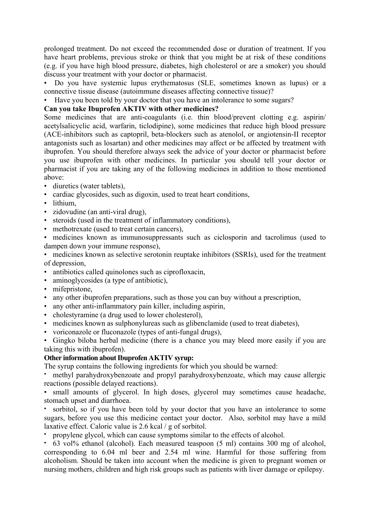prolonged treatment. Do not exceed the recommended dose or duration of treatment. If you have heart problems, previous stroke or think that you might be at risk of these conditions (e.g. if you have high blood pressure, diabetes, high cholesterol or are a smoker) you should discuss your treatment with your doctor or pharmacist.

• Do you have systemic lupus erythematosus (SLE, sometimes known as lupus) or a connective tissue disease (autoimmune diseases affecting connective tissue)?

• Have you been told by your doctor that you have an intolerance to some sugars?

## **Can you take Ibuprofen AKTIV with other medicines?**

Some medicines that are anti-coagulants (i.e. thin blood/prevent clotting e.g. aspirin/ acetylsalicyclic acid, warfarin, ticlodipine), some medicines that reduce high blood pressure (ACE-inhibitors such as captopril, beta-blockers such as atenolol, or angiotensin-II receptor antagonists such as losartan) and other medicines may affect or be affected by treatment with ibuprofen. You should therefore always seek the advice of your doctor or pharmacist before you use ibuprofen with other medicines. In particular you should tell your doctor or pharmacist if you are taking any of the following medicines in addition to those mentioned above:

- diuretics (water tablets),
- cardiac glycosides, such as digoxin, used to treat heart conditions,
- lithium.
- zidovudine (an anti-viral drug),
- steroids (used in the treatment of inflammatory conditions),
- methotrexate (used to treat certain cancers),

• medicines known as immunosuppressants such as ciclosporin and tacrolimus (used to dampen down your immune response),

• medicines known as selective serotonin reuptake inhibitors (SSRIs), used for the treatment of depression,

- antibiotics called quinolones such as ciprofloxacin,
- aminoglycosides (a type of antibiotic),
- mifepristone,
- any other ibuprofen preparations, such as those you can buy without a prescription,
- any other anti-inflammatory pain killer, including aspirin,
- cholestyramine (a drug used to lower cholesterol),
- medicines known as sulphonylureas such as glibenclamide (used to treat diabetes),
- voriconazole or fluconazole (types of anti-fungal drugs),

• Gingko biloba herbal medicine (there is a chance you may bleed more easily if you are taking this with ibuprofen).

## **Other information about Ibuprofen AKTIV syrup:**

The syrup contains the following ingredients for which you should be warned:

• methyl parahydroxybenzoate and propyl parahydroxybenzoate, which may cause allergic reactions (possible delayed reactions).

• small amounts of glycerol. In high doses, glycerol may sometimes cause headache, stomach upset and diarrhoea.

sorbitol, so if you have been told by your doctor that you have an intolerance to some sugars, before you use this medicine contact your doctor. Also, sorbitol may have a mild laxative effect. Caloric value is 2.6 kcal / g of sorbitol.

• propylene glycol, which can cause symptoms similar to the effects of alcohol.

• 63 vol% ethanol (alcohol). Each measured teaspoon (5 ml) contains 300 mg of alcohol, corresponding to 6.04 ml beer and 2.54 ml wine. Harmful for those suffering from alcoholism. Should be taken into account when the medicine is given to pregnant women or nursing mothers, children and high risk groups such as patients with liver damage or epilepsy.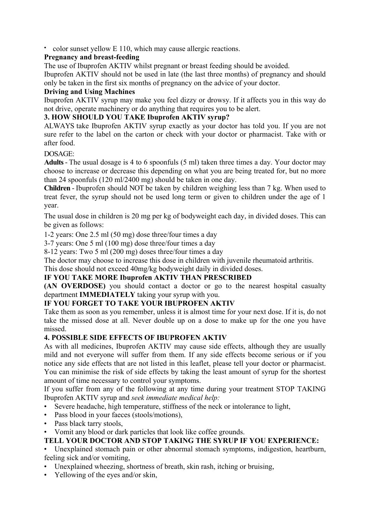• color sunset yellow E 110, which may cause allergic reactions.

# **Pregnancy and breast-feeding**

The use of Ibuprofen AKTIV whilst pregnant or breast feeding should be avoided.

Ibuprofen AKTIV should not be used in late (the last three months) of pregnancy and should only be taken in the first six months of pregnancy on the advice of your doctor.

# **Driving and Using Machines**

Ibuprofen AKTIV syrup may make you feel dizzy or drowsy. If it affects you in this way do not drive, operate machinery or do anything that requires you to be alert.

# **3. HOW SHOULD YOU TAKE Ibuprofen AKTIV syrup?**

ALWAYS take Ibuprofen AKTIV syrup exactly as your doctor has told you. If you are not sure refer to the label on the carton or check with your doctor or pharmacist. Take with or after food.

# DOSAGE:

**Adults** - The usual dosage is 4 to 6 spoonfuls (5 ml) taken three times a day. Your doctor may choose to increase or decrease this depending on what you are being treated for, but no more than 24 spoonfuls (120 ml/2400 mg) should be taken in one day.

**Children** - Ibuprofen should NOT be taken by children weighing less than 7 kg. When used to treat fever, the syrup should not be used long term or given to children under the age of 1 year.

The usual dose in children is 20 mg per kg of bodyweight each day, in divided doses. This can be given as follows:

1-2 years: One 2.5 ml (50 mg) dose three/four times a day

3-7 years: One 5 ml (100 mg) dose three/four times a day

8-12 years: Two 5 ml (200 mg) doses three/four times a day

The doctor may choose to increase this dose in children with juvenile rheumatoid arthritis.

This dose should not exceed 40mg/kg bodyweight daily in divided doses.

## **IF YOU TAKE MORE Ibuprofen AKTIV THAN PRESCRIBED**

**(AN OVERDOSE)** you should contact a doctor or go to the nearest hospital casualty department **IMMEDIATELY** taking your syrup with you.

# **IF YOU FORGET TO TAKE YOUR IBUPROFEN AKTIV**

Take them as soon as you remember, unless it is almost time for your next dose. If it is, do not take the missed dose at all. Never double up on a dose to make up for the one you have missed.

## **4. POSSIBLE SIDE EFFECTS OF IBUPROFEN AKTIV**

As with all medicines, Ibuprofen AKTIV may cause side effects, although they are usually mild and not everyone will suffer from them. If any side effects become serious or if you notice any side effects that are not listed in this leaflet, please tell your doctor or pharmacist. You can minimise the risk of side effects by taking the least amount of syrup for the shortest amount of time necessary to control your symptoms.

If you suffer from any of the following at any time during your treatment STOP TAKING Ibuprofen AKTIV syrup and *seek immediate medical help:* 

- Severe headache, high temperature, stiffness of the neck or intolerance to light,
- Pass blood in your faeces (stools/motions),
- Pass black tarry stools,
- Vomit any blood or dark particles that look like coffee grounds.

# **TELL YOUR DOCTOR AND STOP TAKING THE SYRUP IF YOU EXPERIENCE:**

• Unexplained stomach pain or other abnormal stomach symptoms, indigestion, heartburn, feeling sick and/or vomiting,

- Unexplained wheezing, shortness of breath, skin rash, itching or bruising,
- Yellowing of the eyes and/or skin,